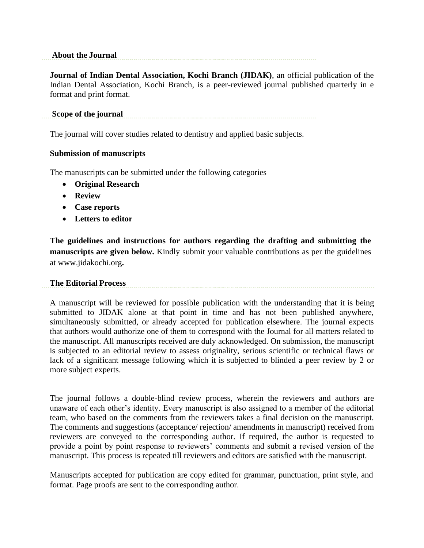**About the Journal** 

**Journal of Indian Dental Association, Kochi Branch (JIDAK)**, an official publication of the Indian Dental Association, Kochi Branch, is a peer-reviewed journal published quarterly in e format and print format.

**Scope of the journal**

The journal will cover studies related to dentistry and applied basic subjects.

### **Submission of manuscripts**

The manuscripts can be submitted under the following categories

- **Original Research**
- **Review**
- **Case reports**
- **Letters to editor**

**The guidelines and instructions for authors regarding the drafting and submitting the manuscripts are given below.** Kindly submit your valuable contributions as per the guidelines at [www.jidakochi.org](http://www.jidakochi.org/)**.**

#### **The Editorial Process**

A manuscript will be reviewed for possible publication with the understanding that it is being submitted to JIDAK alone at that point in time and has not been published anywhere, simultaneously submitted, or already accepted for publication elsewhere. The journal expects that authors would authorize one of them to correspond with the Journal for all matters related to the manuscript. All manuscripts received are duly acknowledged. On submission, the manuscript is subjected to an editorial review to assess originality, serious scientific or technical flaws or lack of a significant message following which it is subjected to blinded a peer review by 2 or more subject experts.

The journal follows a double-blind review process, wherein the reviewers and authors are unaware of each other's identity. Every manuscript is also assigned to a member of the editorial team, who based on the comments from the reviewers takes a final decision on the manuscript. The comments and suggestions (acceptance/ rejection/ amendments in manuscript) received from reviewers are conveyed to the corresponding author. If required, the author is requested to provide a point by point response to reviewers' comments and submit a revised version of the manuscript. This process is repeated till reviewers and editors are satisfied with the manuscript.

Manuscripts accepted for publication are copy edited for grammar, punctuation, print style, and format. Page proofs are sent to the corresponding author.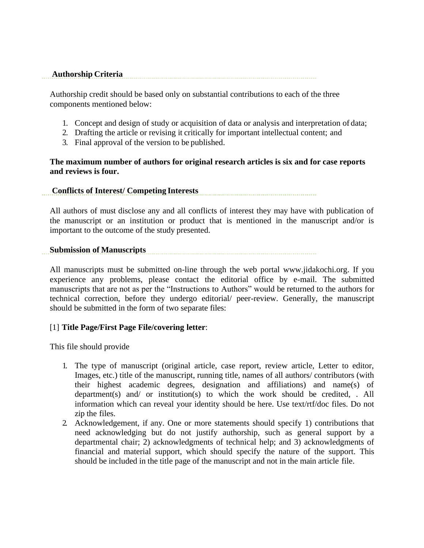## **Authorship Criteria**

Authorship credit should be based only on substantial contributions to each of the three components mentioned below:

- 1. Concept and design of study or acquisition of data or analysis and interpretation of data;
- 2. Drafting the article or revising it critically for important intellectual content; and
- 3. Final approval of the version to be published.

#### **The maximum number of authors for original research articles is six and for case reports and reviews is four.**

# **Conflicts of Interest/ Competing Interests**

All authors of must disclose any and all conflicts of interest they may have with publication of the manuscript or an institution or product that is mentioned in the manuscript and/or is important to the outcome of the study presented.

#### **Submission of Manuscripts**

All manuscripts must be submitted on-line through the web portal [www.jidakochi.org.](http://www.jidakochi.org/) If you experience any problems, please contact the editorial office by e-mail. The submitted manuscripts that are not as per the "Instructions to Authors" would be returned to the authors for technical correction, before they undergo editorial/ peer-review. Generally, the manuscript should be submitted in the form of two separate files:

## [1] **Title Page/First Page File/covering letter**:

This file should provide

- 1. The type of manuscript (original article, case report, review article, Letter to editor, Images, etc.) title of the manuscript, running title, names of all authors/ contributors (with their highest academic degrees, designation and affiliations) and name(s) of department(s) and/ or institution(s) to which the work should be credited, . All information which can reveal your identity should be here. Use text/rtf/doc files. Do not zip the files.
- 2. Acknowledgement, if any. One or more statements should specify 1) contributions that need acknowledging but do not justify authorship, such as general support by a departmental chair; 2) acknowledgments of technical help; and 3) acknowledgments of financial and material support, which should specify the nature of the support. This should be included in the title page of the manuscript and not in the main article file.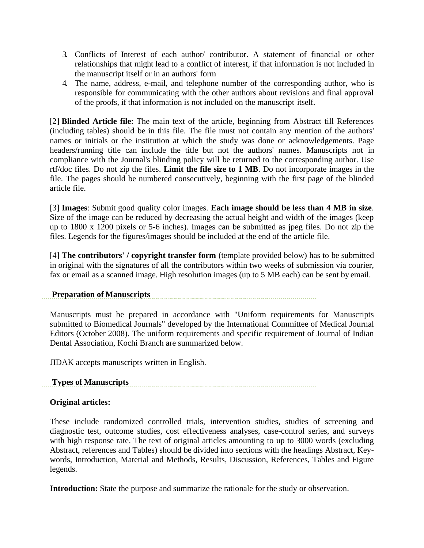- 3. Conflicts of Interest of each author/ contributor. A statement of financial or other relationships that might lead to a conflict of interest, if that information is not included in the manuscript itself or in an authors' form
- 4. The name, address, e-mail, and telephone number of the corresponding author, who is responsible for communicating with the other authors about revisions and final approval of the proofs, if that information is not included on the manuscript itself.

[2] **Blinded Article file**: The main text of the article, beginning from Abstract till References (including tables) should be in this file. The file must not contain any mention of the authors' names or initials or the institution at which the study was done or acknowledgements. Page headers/running title can include the title but not the authors' names. Manuscripts not in compliance with the Journal's blinding policy will be returned to the corresponding author. Use rtf/doc files. Do not zip the files. **Limit the file size to 1 MB**. Do not incorporate images in the file. The pages should be numbered consecutively, beginning with the first page of the blinded article file.

[3] **Images**: Submit good quality color images. **Each image should be less than 4 MB in size**. Size of the image can be reduced by decreasing the actual height and width of the images (keep up to 1800 x 1200 pixels or 5-6 inches). Images can be submitted as jpeg files. Do not zip the files. Legends for the figures/images should be included at the end of the article file.

[4] **The contributors' / copyright transfer form** (template provided below) has to be submitted in original with the signatures of all the contributors within two weeks of submission via courier, fax or email as a scanned image. High resolution images (up to 5 MB each) can be sent by email.

## **Preparation of Manuscripts**

Manuscripts must be prepared in accordance with "Uniform requirements for Manuscripts submitted to Biomedical Journals" developed by the International Committee of Medical Journal Editors (October 2008). The uniform requirements and specific requirement of Journal of Indian Dental Association, Kochi Branch are summarized below.

JIDAK accepts manuscripts written in English.

#### **Types of Manuscripts**

#### **Original articles:**

These include randomized controlled trials, intervention studies, studies of screening and diagnostic test, outcome studies, cost effectiveness analyses, case-control series, and surveys with high response rate. The text of original articles amounting to up to 3000 words (excluding Abstract, references and Tables) should be divided into sections with the headings Abstract, Keywords, Introduction, Material and Methods, Results, Discussion, References, Tables and Figure legends.

**Introduction:** State the purpose and summarize the rationale for the study or observation.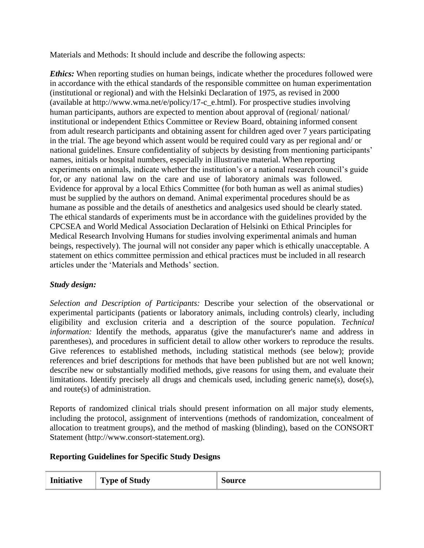Materials and Methods: It should include and describe the following aspects:

*Ethics:* When reporting studies on human beings, indicate whether the procedures followed were in accordance with the ethical standards of the responsible committee on human experimentation (institutional or regional) and with the Helsinki Declaration of 1975, as revised in 2000 (available at [http://www.wma.net/e/policy/17-c\\_e.html\).](http://www.wma.net/e/policy/17-c_e.html)) For prospective studies involving human participants, authors are expected to mention about approval of (regional/ national/ institutional or independent Ethics Committee or Review Board, obtaining informed consent from adult research participants and obtaining assent for children aged over 7 years participating in the trial. The age beyond which assent would be required could vary as per regional and/ or national guidelines. Ensure confidentiality of subjects by desisting from mentioning participants' names, initials or hospital numbers, especially in illustrative material. When reporting experiments on animals, indicate whether the institution's or a national research council's guide for, or any national law on the care and use of laboratory animals was followed. Evidence for approval by a local Ethics Committee (for both human as well as animal studies) must be supplied by the authors on demand. Animal experimental procedures should be as humane as possible and the details of anesthetics and analgesics used should be clearly stated. The ethical standards of experiments must be in accordance with the guidelines provided by the CPCSEA and World Medical Association Declaration of Helsinki on Ethical Principles for Medical Research Involving Humans for studies involving experimental animals and human beings, respectively). The journal will not consider any paper which is ethically unacceptable. A statement on ethics committee permission and ethical practices must be included in all research articles under the 'Materials and Methods' section.

# *Study design:*

*Selection and Description of Participants:* Describe your selection of the observational or experimental participants (patients or laboratory animals, including controls) clearly, including eligibility and exclusion criteria and a description of the source population. *Technical information:* Identify the methods, apparatus (give the manufacturer's name and address in parentheses), and procedures in sufficient detail to allow other workers to reproduce the results. Give references to established methods, including statistical methods (see below); provide references and brief descriptions for methods that have been published but are not well known; describe new or substantially modified methods, give reasons for using them, and evaluate their limitations. Identify precisely all drugs and chemicals used, including generic name(s), dose(s), and route(s) of administration.

Reports of randomized clinical trials should present information on all major study elements, including the protocol, assignment of interventions (methods of randomization, concealment of allocation to treatment groups), and the method of masking (blinding), based on the CONSORT Statement (http://www.consort-statement.org).

## **Reporting Guidelines for Specific Study Designs**

| <b>Initiative</b> | <b>Type of Study</b> | Source |
|-------------------|----------------------|--------|
|-------------------|----------------------|--------|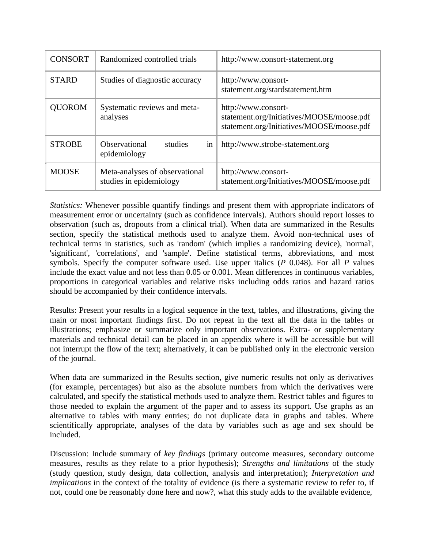| <b>CONSORT</b> | Randomized controlled trials                                    | http://www.consort-statement.org                                                                              |  |
|----------------|-----------------------------------------------------------------|---------------------------------------------------------------------------------------------------------------|--|
| <b>STARD</b>   | Studies of diagnostic accuracy                                  | http://www.consort-<br>statement.org/stardstatement.htm                                                       |  |
| <b>QUOROM</b>  | Systematic reviews and meta-<br>analyses                        | http://www.consort-<br>statement.org/Initiatives/MOOSE/moose.pdf<br>statement.org/Initiatives/MOOSE/moose.pdf |  |
| <b>STROBE</b>  | $\operatorname{in}$<br>studies<br>Observational<br>epidemiology | http://www.strobe-statement.org                                                                               |  |
| <b>MOOSE</b>   | Meta-analyses of observational<br>studies in epidemiology       | http://www.consort-<br>statement.org/Initiatives/MOOSE/moose.pdf                                              |  |

*Statistics:* Whenever possible quantify findings and present them with appropriate indicators of measurement error or uncertainty (such as confidence intervals). Authors should report losses to observation (such as, dropouts from a clinical trial). When data are summarized in the Results section, specify the statistical methods used to analyze them. Avoid non-technical uses of technical terms in statistics, such as 'random' (which implies a randomizing device), 'normal', 'significant', 'correlations', and 'sample'. Define statistical terms, abbreviations, and most symbols. Specify the computer software used. Use upper italics (*P* 0.048). For all *P* values include the exact value and not less than 0.05 or 0.001. Mean differences in continuous variables, proportions in categorical variables and relative risks including odds ratios and hazard ratios should be accompanied by their confidence intervals.

Results: Present your results in a logical sequence in the text, tables, and illustrations, giving the main or most important findings first. Do not repeat in the text all the data in the tables or illustrations; emphasize or summarize only important observations. Extra- or supplementary materials and technical detail can be placed in an appendix where it will be accessible but will not interrupt the flow of the text; alternatively, it can be published only in the electronic version of the journal.

When data are summarized in the Results section, give numeric results not only as derivatives (for example, percentages) but also as the absolute numbers from which the derivatives were calculated, and specify the statistical methods used to analyze them. Restrict tables and figures to those needed to explain the argument of the paper and to assess its support. Use graphs as an alternative to tables with many entries; do not duplicate data in graphs and tables. Where scientifically appropriate, analyses of the data by variables such as age and sex should be included.

Discussion: Include summary of *key findings* (primary outcome measures, secondary outcome measures, results as they relate to a prior hypothesis); *Strengths and limitations* of the study (study question, study design, data collection, analysis and interpretation); *Interpretation and implications* in the context of the totality of evidence (is there a systematic review to refer to, if not, could one be reasonably done here and now?, what this study adds to the available evidence,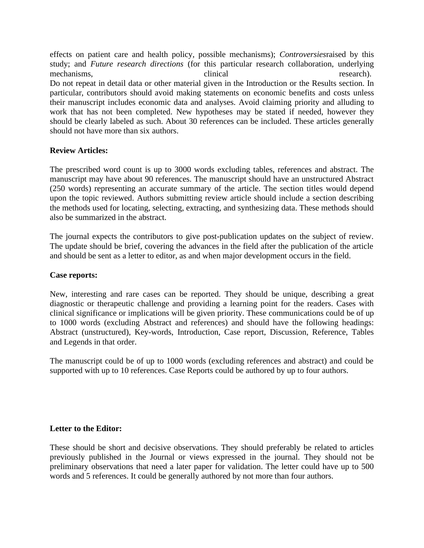effects on patient care and health policy, possible mechanisms); *Controversies*raised by this study; and *Future research directions* (for this particular research collaboration, underlying mechanisms. The clinical research), clinical research), research). Do not repeat in detail data or other material given in the Introduction or the Results section. In particular, contributors should avoid making statements on economic benefits and costs unless their manuscript includes economic data and analyses. Avoid claiming priority and alluding to work that has not been completed. New hypotheses may be stated if needed, however they should be clearly labeled as such. About 30 references can be included. These articles generally should not have more than six authors.

### **Review Articles:**

The prescribed word count is up to 3000 words excluding tables, references and abstract. The manuscript may have about 90 references. The manuscript should have an unstructured Abstract (250 words) representing an accurate summary of the article. The section titles would depend upon the topic reviewed. Authors submitting review article should include a section describing the methods used for locating, selecting, extracting, and synthesizing data. These methods should also be summarized in the abstract.

The journal expects the contributors to give post-publication updates on the subject of review. The update should be brief, covering the advances in the field after the publication of the article and should be sent as a letter to editor, as and when major development occurs in the field.

#### **Case reports:**

New, interesting and rare cases can be reported. They should be unique, describing a great diagnostic or therapeutic challenge and providing a learning point for the readers. Cases with clinical significance or implications will be given priority. These communications could be of up to 1000 words (excluding Abstract and references) and should have the following headings: Abstract (unstructured), Key-words, Introduction, Case report, Discussion, Reference, Tables and Legends in that order.

The manuscript could be of up to 1000 words (excluding references and abstract) and could be supported with up to 10 references. Case Reports could be authored by up to four authors.

#### **Letter to the Editor:**

These should be short and decisive observations. They should preferably be related to articles previously published in the Journal or views expressed in the journal. They should not be preliminary observations that need a later paper for validation. The letter could have up to 500 words and 5 references. It could be generally authored by not more than four authors.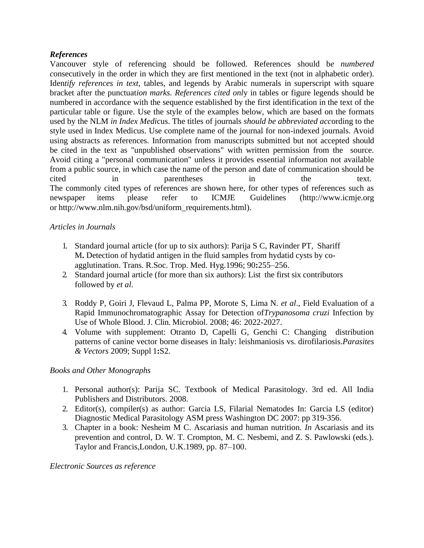## *References*

Vancouver style of referencing should be followed. References should b*e numbered consecutively* in the order in which they are first mentioned in the text (not in alphabetic order). Iden*tify references in text,* tables, and legends by Arabic numerals in superscript with square bracket after the punctuat*ion marks. References cited onl*y in tables or figure legends should be numbered in accordance with the sequence established by the first identification in the text of the particular table or figure. Use the style of the examples below, which are based on the formats used by the NLM *in Index Medi*cus. The titles of journals *should be abbreviated acc*ording to the style used in Index Medicus. Use complete name of the journal for non-indexed journals. Avoid using abstracts as references. Information from manuscripts submitted but not accepted should be cited in the text as "unpublished observations" with written permission from the source. Avoid citing a "personal communication" unless it provides essential information not available from a public source, in which case the name of the person and date of communication should be cited in parentheses in the text. The commonly cited types of references are shown here, for other types of references such as newspaper items please refer to ICMJE Guidelines [\(http://www.icmje.org](http://www.icmje.org/) or [http://www.nlm.nih.gov/bsd/uniform\\_requirements.html\)](http://www.nlm.nih.gov/bsd/uniform_requirements.html).

### *Articles in Journals*

- 1. Standard journal article (for up to six authors): Parija S C, Ravinder PT, Shariff M**.** Detection of hydatid antigen in the fluid samples from hydatid cysts by coagglutination. Trans. R.Soc. Trop. Med. Hyg.1996; 90**:**255–256.
- 2. Standard journal article (for more than six authors): List the first six contributors followed by *et al*.
- 3. Roddy P, Goiri J, Flevaud L, Palma PP, Morote S, Lima N. *et al*., Field Evaluation of a Rapid Immunochromatographic Assay for Detection of*Trypanosoma cruzi* Infection by Use of Whole Blood. J. Clin. Microbiol. 2008; 46: 2022-2027.
- 4. Volume with supplement: Otranto D, Capelli G, Genchi C: Changing distribution patterns of canine vector borne diseases in Italy: leishmaniosis vs. dirofilariosis.*Parasites & Vectors* 2009; Suppl 1**:**S2.

#### *Books and Other Monographs*

- 1. Personal author(s): Parija SC. Textbook of Medical Parasitology. 3rd ed. All India Publishers and Distributors. 2008.
- 2. Editor(s), compiler(s) as author: Garcia LS, Filarial Nematodes In: Garcia LS (editor) Diagnostic Medical Parasitology ASM press Washington DC 2007: pp 319-356.
- 3. Chapter in a book: Nesheim M C. Ascariasis and human nutrition. *In* Ascariasis and its prevention and control, D. W. T. Crompton, M. C. Nesbemi, and Z. S. Pawlowski (eds.). Taylor and Francis,London, U.K.1989, pp. 87–100.

#### *Electronic Sources as reference*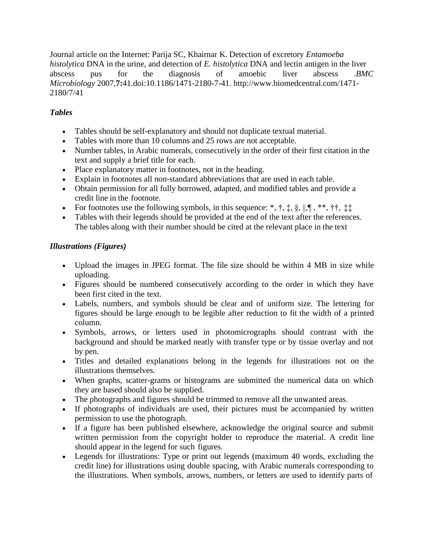Journal article on the Internet: Parija SC, Khairnar K. Detection of excretory *Entamoeba histolytica* DNA in the urine, and detection of *E. histolytica* DNA and lectin antigen in the liver abscess pus for the diagnosis of amoebic liver abscess .*BMC Microbiology* 2007,**7:**41.doi:10.1186/1471-2180-7-41. [http://www.biomedcentral.com/1471-](http://www.biomedcentral.com/1471-2180/7/41) [2180/7/41](http://www.biomedcentral.com/1471-2180/7/41)

# *Tables*

- Tables should be self-explanatory and should not duplicate textual material.
- Tables with more than 10 columns and 25 rows are not acceptable.
- Number tables, in Arabic numerals, consecutively in the order of their first citation in the text and supply a brief title for each.
- Place explanatory matter in footnotes, not in the heading.
- Explain in footnotes all non-standard abbreviations that are used in each table.
- Obtain permission for all fully borrowed, adapted, and modified tables and provide a credit line in the footnote.
- For footnotes use the following symbols, in this sequence: \*,  $\dagger$ ,  $\dagger$ ,  $\S$ ,  $\|\,\,\|$ , \*\*,  $\dagger \dagger$ ,  $\dagger \ddagger$
- Tables with their legends should be provided at the end of the text after the references. The tables along with their number should be cited at the relevant place in the text

## *Illustrations (Figures)*

- Upload the images in JPEG format. The file size should be within 4 MB in size while uploading.
- Figures should be numbered consecutively according to the order in which they have been first cited in the text.
- Labels, numbers, and symbols should be clear and of uniform size. The lettering for figures should be large enough to be legible after reduction to fit the width of a printed column.
- Symbols, arrows, or letters used in photomicrographs should contrast with the background and should be marked neatly with transfer type or by tissue overlay and not by pen.
- Titles and detailed explanations belong in the legends for illustrations not on the illustrations themselves.
- When graphs, scatter-grams or histograms are submitted the numerical data on which they are based should also be supplied.
- The photographs and figures should be trimmed to remove all the unwanted areas.
- If photographs of individuals are used, their pictures must be accompanied by written permission to use the photograph.
- If a figure has been published elsewhere, acknowledge the original source and submit written permission from the copyright holder to reproduce the material. A credit line should appear in the legend for such figures.
- Legends for illustrations: Type or print out legends (maximum 40 words, excluding the credit line) for illustrations using double spacing, with Arabic numerals corresponding to the illustrations. When symbols, arrows, numbers, or letters are used to identify parts of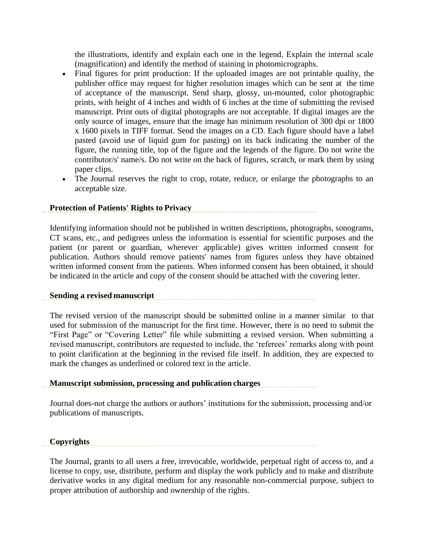the illustrations, identify and explain each one in the legend. Explain the internal scale (magnification) and identify the method of staining in photomicrographs.

- Final figures for print production: If the uploaded images are not printable quality, the publisher office may request for higher resolution images which can be sent at the time of acceptance of the manuscript. Send sharp, glossy, un-mounted, color photographic prints, with height of 4 inches and width of 6 inches at the time of submitting the revised manuscript. Print outs of digital photographs are not acceptable. If digital images are the only source of images, ensure that the image has minimum resolution of 300 dpi or 1800 x 1600 pixels in TIFF format. Send the images on a CD. Each figure should have a label pasted (avoid use of liquid gum for pasting) on its back indicating the number of the figure, the running title, top of the figure and the legends of the figure. Do not write the contributor/s' name/s. Do not write on the back of figures, scratch, or mark them by using paper clips.
- The Journal reserves the right to crop, rotate, reduce, or enlarge the photographs to an acceptable size.

## **Protection of Patients' Rights to Privacy**

Identifying information should not be published in written descriptions, photographs, sonograms, CT scans, etc., and pedigrees unless the information is essential for scientific purposes and the patient (or parent or guardian, wherever applicable) gives written informed consent for publication. Authors should remove patients' names from figures unless they have obtained written informed consent from the patients. When informed consent has been obtained, it should be indicated in the article and copy of the consent should be attached with the covering letter.

## **Sending a revised manuscript**

The revised version of the manuscript should be submitted online in a manner similar to that used for submission of the manuscript for the first time. However, there is no need to submit the "First Page" or "Covering Letter" file while submitting a revised version. When submitting a revised manuscript, contributors are requested to include, the 'referees' remarks along with point to point clarification at the beginning in the revised file itself. In addition, they are expected to mark the changes as underlined or colored text in the article.

#### **Manuscript submission, processing and publication charges**

proper attribution of authorship and ownership of the rights.

Journal does-not charge the authors or authors' institutions for the submission, processing and/or publications of manuscripts.

## **Copyrights**

The Journal, grants to all users a free, irrevocable, worldwide, perpetual right of access to, and a license to copy, use, distribute, perform and display the work publicly and to make and distribute derivative works in any digital medium for any reasonable non-commercial purpose, subject to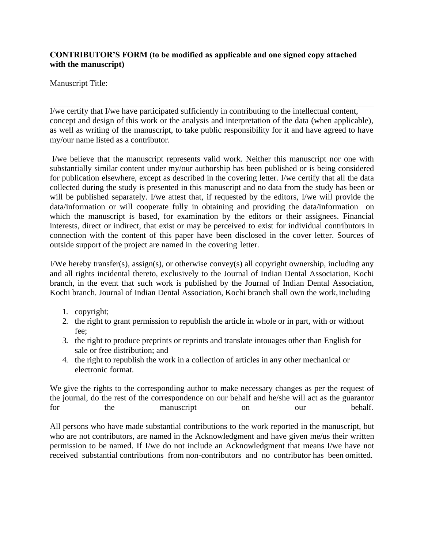## **CONTRIBUTOR'S FORM (to be modified as applicable and one signed copy attached with the manuscript)**

Manuscript Title:

I/we certify that I/we have participated sufficiently in contributing to the intellectual content, concept and design of this work or the analysis and interpretation of the data (when applicable), as well as writing of the manuscript, to take public responsibility for it and have agreed to have my/our name listed as a contributor.

I/we believe that the manuscript represents valid work. Neither this manuscript nor one with substantially similar content under my/our authorship has been published or is being considered for publication elsewhere, except as described in the covering letter. I/we certify that all the data collected during the study is presented in this manuscript and no data from the study has been or will be published separately. I/we attest that, if requested by the editors, I/we will provide the data/information or will cooperate fully in obtaining and providing the data/information on which the manuscript is based, for examination by the editors or their assignees. Financial interests, direct or indirect, that exist or may be perceived to exist for individual contributors in connection with the content of this paper have been disclosed in the cover letter. Sources of outside support of the project are named in the covering letter.

I/We hereby transfer(s), assign(s), or otherwise convey(s) all copyright ownership, including any and all rights incidental thereto, exclusively to the Journal of Indian Dental Association, Kochi branch, in the event that such work is published by the Journal of Indian Dental Association, Kochi branch. Journal of Indian Dental Association, Kochi branch shall own the work, including

- 1. copyright;
- 2. the right to grant permission to republish the article in whole or in part, with or without fee;
- 3. the right to produce preprints or reprints and translate intouages other than English for sale or free distribution; and
- 4. the right to republish the work in a collection of articles in any other mechanical or electronic format.

We give the rights to the corresponding author to make necessary changes as per the request of the journal, do the rest of the correspondence on our behalf and he/she will act as the guarantor for the manuscript on our behalf.

All persons who have made substantial contributions to the work reported in the manuscript, but who are not contributors, are named in the Acknowledgment and have given me/us their written permission to be named. If I/we do not include an Acknowledgment that means I/we have not received substantial contributions from non-contributors and no contributor has been omitted.